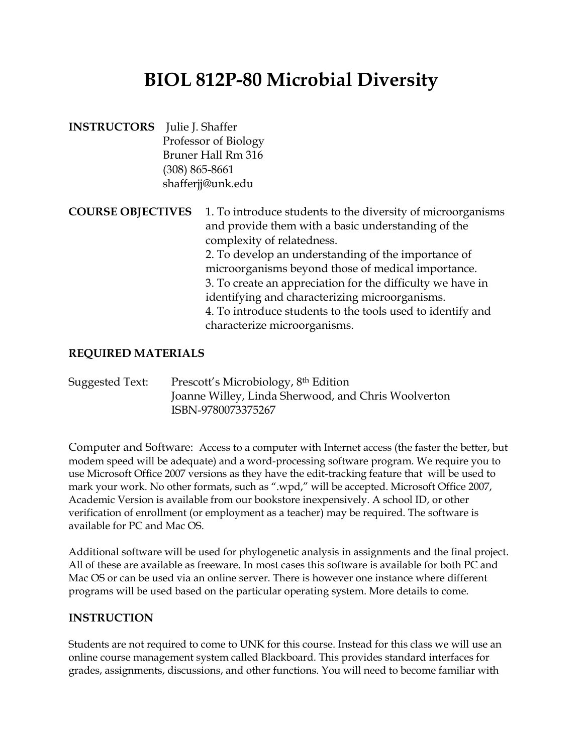# **BIOL 812P-80 Microbial Diversity**

**INSTRUCTORS** Julie J. Shaffer Professor of Biology Bruner Hall Rm 316 (308) 865-8661 shafferjj@unk.edu

**COURSE OBJECTIVES** 1. To introduce students to the diversity of microorganisms and provide them with a basic understanding of the complexity of relatedness. 2. To develop an understanding of the importance of microorganisms beyond those of medical importance. 3. To create an appreciation for the difficulty we have in identifying and characterizing microorganisms. 4. To introduce students to the tools used to identify and characterize microorganisms.

## **REQUIRED MATERIALS**

Suggested Text: Prescott's Microbiology, 8th Edition Joanne Willey, Linda Sherwood, and Chris Woolverton ISBN-9780073375267

Computer and Software: Access to a computer with Internet access (the faster the better, but modem speed will be adequate) and a word-processing software program. We require you to use Microsoft Office 2007 versions as they have the edit-tracking feature that will be used to mark your work. No other formats, such as ".wpd," will be accepted. Microsoft Office 2007, Academic Version is available from our bookstore inexpensively. A school ID, or other verification of enrollment (or employment as a teacher) may be required. The software is available for PC and Mac OS.

Additional software will be used for phylogenetic analysis in assignments and the final project. All of these are available as freeware. In most cases this software is available for both PC and Mac OS or can be used via an online server. There is however one instance where different programs will be used based on the particular operating system. More details to come.

### **INSTRUCTION**

Students are not required to come to UNK for this course. Instead for this class we will use an online course management system called Blackboard. This provides standard interfaces for grades, assignments, discussions, and other functions. You will need to become familiar with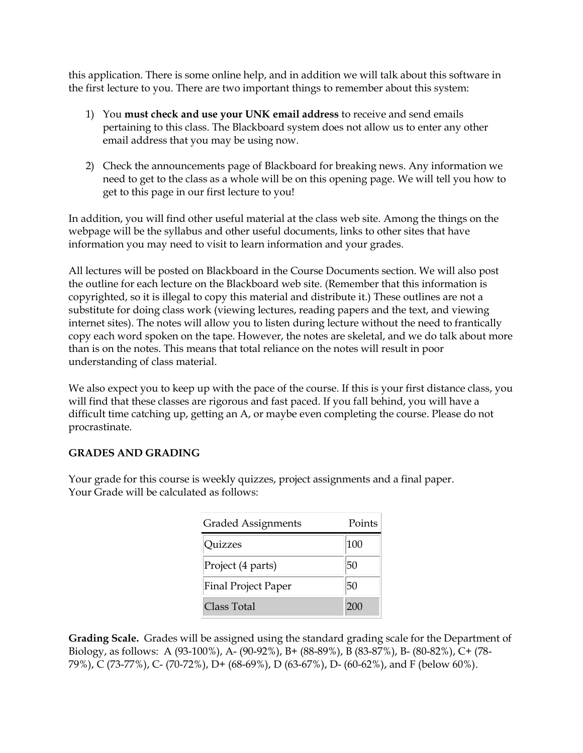this application. There is some online help, and in addition we will talk about this software in the first lecture to you. There are two important things to remember about this system:

- 1) You **must check and use your UNK email address** to receive and send emails pertaining to this class. The Blackboard system does not allow us to enter any other email address that you may be using now.
- 2) Check the announcements page of Blackboard for breaking news. Any information we need to get to the class as a whole will be on this opening page. We will tell you how to get to this page in our first lecture to you!

In addition, you will find other useful material at the class web site. Among the things on the webpage will be the syllabus and other useful documents, links to other sites that have information you may need to visit to learn information and your grades.

All lectures will be posted on Blackboard in the Course Documents section. We will also post the outline for each lecture on the Blackboard web site. (Remember that this information is copyrighted, so it is illegal to copy this material and distribute it.) These outlines are not a substitute for doing class work (viewing lectures, reading papers and the text, and viewing internet sites). The notes will allow you to listen during lecture without the need to frantically copy each word spoken on the tape. However, the notes are skeletal, and we do talk about more than is on the notes. This means that total reliance on the notes will result in poor understanding of class material.

We also expect you to keep up with the pace of the course. If this is your first distance class, you will find that these classes are rigorous and fast paced. If you fall behind, you will have a difficult time catching up, getting an A, or maybe even completing the course. Please do not procrastinate.

#### **GRADES AND GRADING**

Your grade for this course is weekly quizzes, project assignments and a final paper. Your Grade will be calculated as follows:

| <b>Graded Assignments</b>  | Points |
|----------------------------|--------|
| Quizzes                    | 100    |
| Project (4 parts)          | 50     |
| <b>Final Project Paper</b> | 50     |
| Class Total                | 200    |

**Grading Scale.** Grades will be assigned using the standard grading scale for the Department of Biology, as follows: A (93-100%), A- (90-92%), B+ (88-89%), B (83-87%), B- (80-82%), C+ (78- 79%), C (73-77%), C- (70-72%), D+ (68-69%), D (63-67%), D- (60-62%), and F (below 60%).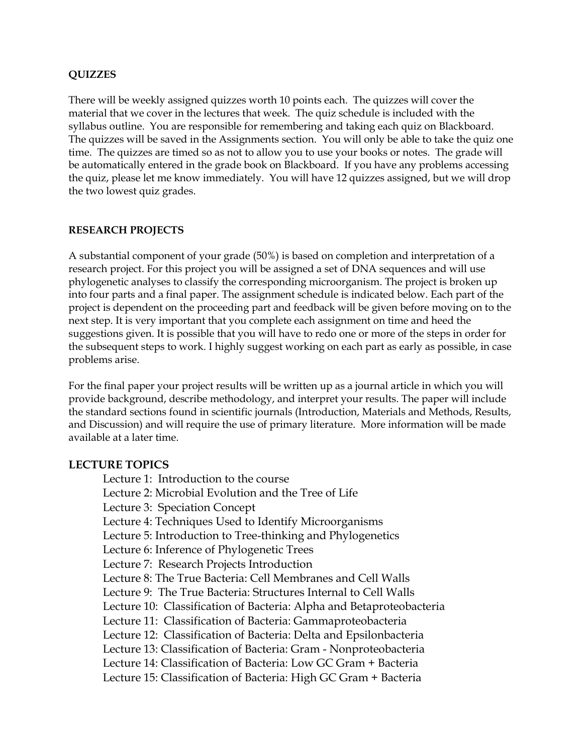#### **QUIZZES**

There will be weekly assigned quizzes worth 10 points each. The quizzes will cover the material that we cover in the lectures that week. The quiz schedule is included with the syllabus outline. You are responsible for remembering and taking each quiz on Blackboard. The quizzes will be saved in the Assignments section. You will only be able to take the quiz one time. The quizzes are timed so as not to allow you to use your books or notes. The grade will be automatically entered in the grade book on Blackboard. If you have any problems accessing the quiz, please let me know immediately. You will have 12 quizzes assigned, but we will drop the two lowest quiz grades.

#### **RESEARCH PROJECTS**

A substantial component of your grade (50%) is based on completion and interpretation of a research project. For this project you will be assigned a set of DNA sequences and will use phylogenetic analyses to classify the corresponding microorganism. The project is broken up into four parts and a final paper. The assignment schedule is indicated below. Each part of the project is dependent on the proceeding part and feedback will be given before moving on to the next step. It is very important that you complete each assignment on time and heed the suggestions given. It is possible that you will have to redo one or more of the steps in order for the subsequent steps to work. I highly suggest working on each part as early as possible, in case problems arise.

For the final paper your project results will be written up as a journal article in which you will provide background, describe methodology, and interpret your results. The paper will include the standard sections found in scientific journals (Introduction, Materials and Methods, Results, and Discussion) and will require the use of primary literature. More information will be made available at a later time.

#### **LECTURE TOPICS**

Lecture 1: Introduction to the course Lecture 2: Microbial Evolution and the Tree of Life Lecture 3: Speciation Concept Lecture 4: Techniques Used to Identify Microorganisms Lecture 5: Introduction to Tree-thinking and Phylogenetics Lecture 6: Inference of Phylogenetic Trees Lecture 7: Research Projects Introduction Lecture 8: The True Bacteria: Cell Membranes and Cell Walls Lecture 9: The True Bacteria: Structures Internal to Cell Walls Lecture 10: Classification of Bacteria: Alpha and Betaproteobacteria Lecture 11: Classification of Bacteria: Gammaproteobacteria Lecture 12: Classification of Bacteria: Delta and Epsilonbacteria Lecture 13: Classification of Bacteria: Gram - Nonproteobacteria Lecture 14: Classification of Bacteria: Low GC Gram + Bacteria Lecture 15: Classification of Bacteria: High GC Gram + Bacteria